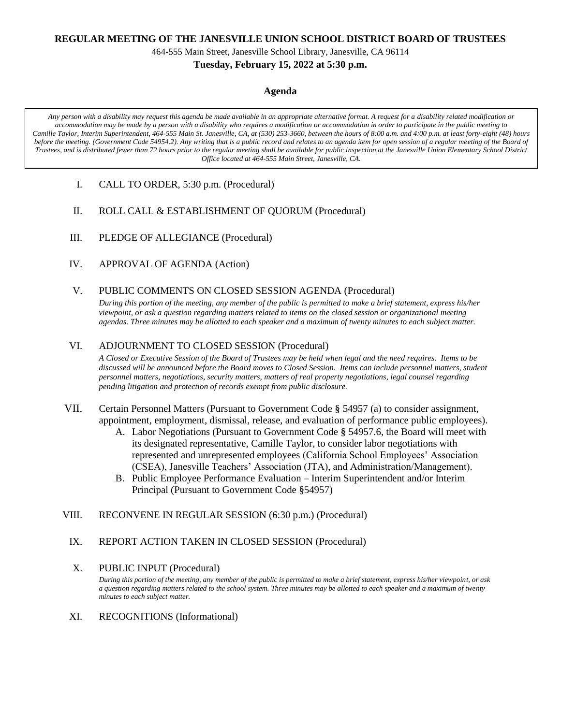### **REGULAR MEETING OF THE JANESVILLE UNION SCHOOL DISTRICT BOARD OF TRUSTEES**

464-555 Main Street, Janesville School Library, Janesville, CA 96114

### **Tuesday, February 15, 2022 at 5:30 p.m.**

### **Agenda**

*Any person with a disability may request this agenda be made available in an appropriate alternative format. A request for a disability related modification or accommodation may be made by a person with a disability who requires a modification or accommodation in order to participate in the public meeting to Camille Taylor, Interim Superintendent, 464-555 Main St. Janesville, CA, at (530) 253-3660, between the hours of 8:00 a.m. and 4:00 p.m. at least forty-eight (48) hours before the meeting. (Government Code 54954.2). Any writing that is a public record and relates to an agenda item for open session of a regular meeting of the Board of Trustees, and is distributed fewer than 72 hours prior to the regular meeting shall be available for public inspection at the Janesville Union Elementary School District Office located at 464-555 Main Street, Janesville, CA.*

- I. CALL TO ORDER, 5:30 p.m. (Procedural)
- II. ROLL CALL & ESTABLISHMENT OF QUORUM (Procedural)
- III. PLEDGE OF ALLEGIANCE (Procedural)
- IV. APPROVAL OF AGENDA (Action)
- V. PUBLIC COMMENTS ON CLOSED SESSION AGENDA (Procedural)

*During this portion of the meeting, any member of the public is permitted to make a brief statement, express his/her viewpoint, or ask a question regarding matters related to items on the closed session or organizational meeting agendas. Three minutes may be allotted to each speaker and a maximum of twenty minutes to each subject matter.*

## VI. ADJOURNMENT TO CLOSED SESSION (Procedural)

*A Closed or Executive Session of the Board of Trustees may be held when legal and the need requires. Items to be discussed will be announced before the Board moves to Closed Session. Items can include personnel matters, student personnel matters, negotiations, security matters, matters of real property negotiations, legal counsel regarding pending litigation and protection of records exempt from public disclosure.*

- VII. Certain Personnel Matters (Pursuant to Government Code **§** 54957 (a) to consider assignment, appointment, employment, dismissal, release, and evaluation of performance public employees).
	- A. Labor Negotiations (Pursuant to Government Code **§** 54957.6, the Board will meet with its designated representative, Camille Taylor, to consider labor negotiations with represented and unrepresented employees (California School Employees' Association (CSEA), Janesville Teachers' Association (JTA), and Administration/Management).
	- B. Public Employee Performance Evaluation Interim Superintendent and/or Interim Principal (Pursuant to Government Code **§**54957)
- VIII. RECONVENE IN REGULAR SESSION (6:30 p.m.) (Procedural)
	- IX. REPORT ACTION TAKEN IN CLOSED SESSION (Procedural)

# X. PUBLIC INPUT (Procedural)

*During this portion of the meeting, any member of the public is permitted to make a brief statement, express his/her viewpoint, or ask a question regarding matters related to the school system. Three minutes may be allotted to each speaker and a maximum of twenty minutes to each subject matter.*

XI. RECOGNITIONS (Informational)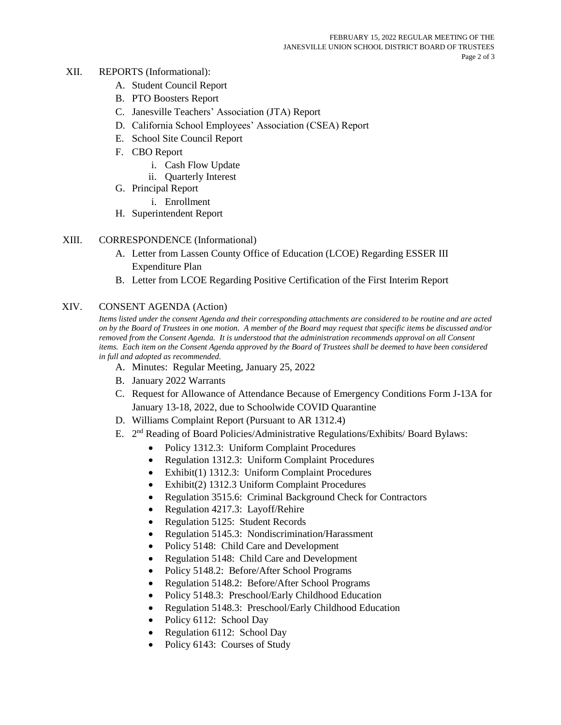## XII. REPORTS (Informational):

- A. Student Council Report
- B. PTO Boosters Report
- C. Janesville Teachers' Association (JTA) Report
- D. California School Employees' Association (CSEA) Report
- E. School Site Council Report
- F. CBO Report
	- i. Cash Flow Update
	- ii. Quarterly Interest
- G. Principal Report
	- i. Enrollment
- H. Superintendent Report

## XIII. CORRESPONDENCE (Informational)

- A. Letter from Lassen County Office of Education (LCOE) Regarding ESSER III Expenditure Plan
- B. Letter from LCOE Regarding Positive Certification of the First Interim Report

### XIV. CONSENT AGENDA (Action)

*Items listed under the consent Agenda and their corresponding attachments are considered to be routine and are acted on by the Board of Trustees in one motion. A member of the Board may request that specific items be discussed and/or removed from the Consent Agenda. It is understood that the administration recommends approval on all Consent*  items. Each item on the Consent Agenda approved by the Board of Trustees shall be deemed to have been considered *in full and adopted as recommended.*

- A. Minutes: Regular Meeting, January 25, 2022
- B. January 2022 Warrants
- C. Request for Allowance of Attendance Because of Emergency Conditions Form J-13A for January 13-18, 2022, due to Schoolwide COVID Quarantine
- D. Williams Complaint Report (Pursuant to AR 1312.4)
- E. 2<sup>nd</sup> Reading of Board Policies/Administrative Regulations/Exhibits/ Board Bylaws:
	- Policy 1312.3: Uniform Complaint Procedures
	- Regulation 1312.3: Uniform Complaint Procedures
	- Exhibit(1) 1312.3: Uniform Complaint Procedures
	- Exhibit(2) 1312.3 Uniform Complaint Procedures
	- Regulation 3515.6: Criminal Background Check for Contractors
	- Regulation 4217.3: Layoff/Rehire
	- Regulation 5125: Student Records
	- Regulation 5145.3: Nondiscrimination/Harassment
	- Policy 5148: Child Care and Development
	- Regulation 5148: Child Care and Development
	- Policy 5148.2: Before/After School Programs
	- Regulation 5148.2: Before/After School Programs
	- Policy 5148.3: Preschool/Early Childhood Education
	- Regulation 5148.3: Preschool/Early Childhood Education
	- Policy 6112: School Day
	- Regulation 6112: School Day
	- Policy 6143: Courses of Study